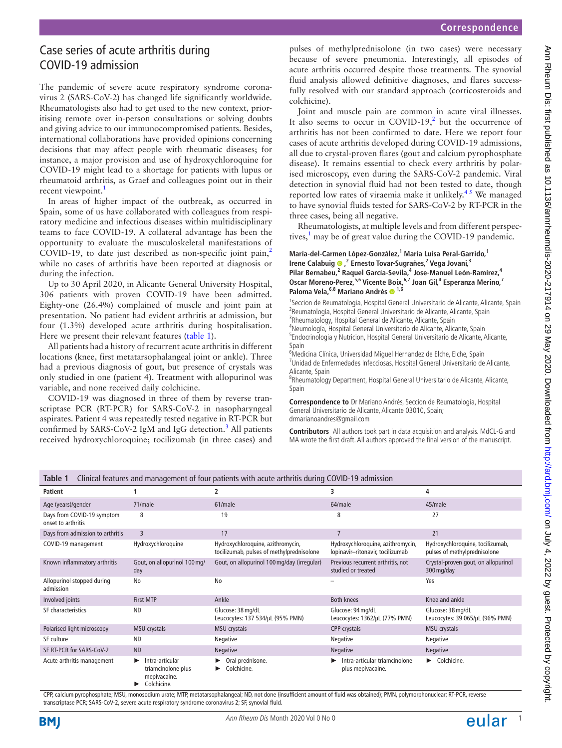# Case series of acute arthritis during COVID-19 admission

The pandemic of severe acute respiratory syndrome coronavirus 2 (SARS-CoV-2) has changed life significantly worldwide. Rheumatologists also had to get used to the new context, prioritising remote over in-person consultations or solving doubts and giving advice to our immunocompromised patients. Besides, international collaborations have provided opinions concerning decisions that may affect people with rheumatic diseases; for instance, a major provision and use of hydroxychloroquine for COVID-19 might lead to a shortage for patients with lupus or rheumatoid arthritis, as Graef and colleagues point out in their recent viewpoint.<sup>1</sup>

In areas of higher impact of the outbreak, as occurred in Spain, some of us have collaborated with colleagues from respiratory medicine and infectious diseases within multidisciplinary teams to face COVID-19. A collateral advantage has been the opportunity to evaluate the musculoskeletal manifestations of COVID-19, to date just described as non-specific joint pain, $^2$ while no cases of arthritis have been reported at diagnosis or during the infection.

Up to 30 April 2020, in Alicante General University Hospital, 306 patients with proven COVID-19 have been admitted. Eighty-one (26.4%) complained of muscle and joint pain at presentation. No patient had evident arthritis at admission, but four (1.3%) developed acute arthritis during hospitalisation. Here we present their relevant features ([table](#page-0-0) 1).

All patients had a history of recurrent acute arthritis in different locations (knee, first metatarsophalangeal joint or ankle). Three had a previous diagnosis of gout, but presence of crystals was only studied in one (patient 4). Treatment with allopurinol was variable, and none received daily colchicine.

COVID-19 was diagnosed in three of them by reverse transcriptase PCR (RT-PCR) for SARS-CoV-2 in nasopharyngeal aspirates. Patient 4 was repeatedly tested negative in RT-PCR but confirmed by SARS-CoV-2 IgM and IgG detection.<sup>[3](#page-1-2)</sup> All patients received hydroxychloroquine; tocilizumab (in three cases) and

pulses of methylprednisolone (in two cases) were necessary because of severe pneumonia. Interestingly, all episodes of acute arthritis occurred despite those treatments. The synovial fluid analysis allowed definitive diagnoses, and flares successfully resolved with our standard approach (corticosteroids and colchicine).

Joint and muscle pain are common in acute viral illnesses. It also seems to occur in COVID-19,<sup>2</sup> but the occurrence of arthritis has not been confirmed to date. Here we report four cases of acute arthritis developed during COVID-19 admissions, all due to crystal-proven flares (gout and calcium pyrophosphate disease). It remains essential to check every arthritis by polarised microscopy, even during the SARS-CoV-2 pandemic. Viral detection in synovial fluid had not been tested to date, though reported low rates of viraemia make it unlikely.<sup>45</sup> We managed to have synovial fluids tested for SARS-CoV-2 by RT-PCR in the three cases, being all negative.

Rheumatologists, at multiple levels and from different perspec-tives,<sup>[1](#page-1-0)</sup> may be of great value during the COVID-19 pandemic.

#### María-del-Carmen López-González,<sup>1</sup> Maria Luisa Peral-Garrido,<sup>1</sup> **IreneCalabuig ®**,<sup>2</sup> Ernesto Tovar-Sugrañes,<sup>2</sup> Vega Jovani,<sup>3</sup> Pilar Bernabeu,<sup>2</sup> Raquel García-Sevila,<sup>4</sup> Jose-Manuel León-Ramírez,<sup>4</sup> **Oscar Moreno-Perez,5,6 Vicente Boix,6,7 Joan Gil,4 Esperanza Merino,<sup>7</sup>** Paloma Vela, <sup>6,8</sup> Mariano Andrés <sup>1,6</sup>

<sup>1</sup>Seccion de Reumatologia, Hospital General Universitario de Alicante, Alicante, Spain <sup>2</sup> Reumatología, Hospital General Universitario de Alicante, Alicante, Spain <sup>3</sup>Rheumatology, Hospital General de Alicante, Alicante, Spain 4 Neumología, Hospital General Universitario de Alicante, Alicante, Spain

<sup>5</sup>Endocrinologia y Nutricion, Hospital General Universitario de Alicante, Alicante, Spain

<sup>6</sup>Medicina Clínica, Universidad Miguel Hernandez de Elche, Elche, Spain <sup>7</sup>Unidad de Enfermedades Infecciosas, Hospital General Universitario de Alicante, Alicante, Spain

<sup>8</sup>Rheumatology Department, Hospital General Universitario de Alicante, Alicante, Spain

**Correspondence to** Dr Mariano Andrés, Seccion de Reumatologia, Hospital General Universitario de Alicante, Alicante 03010, Spain; drmarianoandres@gmail.com

**Contributors** All authors took part in data acquisition and analysis. MdCL-G and MA wrote the first draft. All authors approved the final version of the manuscript.

<span id="page-0-0"></span>

| Clinical features and management of four patients with acute arthritis during COVID-19 admission<br>Table 1 |                                                                      |                                                                                |                                                                       |                                                                  |
|-------------------------------------------------------------------------------------------------------------|----------------------------------------------------------------------|--------------------------------------------------------------------------------|-----------------------------------------------------------------------|------------------------------------------------------------------|
| Patient                                                                                                     |                                                                      | 2                                                                              | 3                                                                     | 4                                                                |
| Age (years)/gender                                                                                          | 71/male                                                              | 61/male                                                                        | 64/male                                                               | 45/male                                                          |
| Days from COVID-19 symptom<br>onset to arthritis                                                            | 8                                                                    | 19                                                                             | 8                                                                     | 27                                                               |
| Days from admission to arthritis                                                                            | $\overline{3}$                                                       | 17                                                                             | $\overline{7}$                                                        | 21                                                               |
| COVID-19 management                                                                                         | Hydroxychloroquine                                                   | Hydroxychloroquine, azithromycin,<br>tocilizumab, pulses of methylprednisolone | Hydroxychloroquine, azithromycin,<br>lopinavir-ritonavir, tocilizumab | Hydroxychloroquine, tocilizumab,<br>pulses of methylprednisolone |
| Known inflammatory arthritis                                                                                | Gout, on allopurinol 100 mg/<br>day                                  | Gout, on allopurinol 100 mg/day (irregular)                                    | Previous recurrent arthritis, not<br>studied or treated               | Crystal-proven gout, on allopurinol<br>300 mg/day                |
| Allopurinol stopped during<br>admission                                                                     | No                                                                   | No                                                                             |                                                                       | Yes                                                              |
| Involved joints                                                                                             | <b>First MTP</b>                                                     | Ankle                                                                          | <b>Both knees</b>                                                     | Knee and ankle                                                   |
| SF characteristics                                                                                          | <b>ND</b>                                                            | Glucose: 38 mg/dL<br>Leucocytes: 137 534/µL (95% PMN)                          | Glucose: 94 mg/dL<br>Leucocytes: 1362/µL (77% PMN)                    | Glucose: 38 mg/dL<br>Leucocytes: 39 065/µL (96% PMN)             |
| Polarised light microscopy                                                                                  | MSU crystals                                                         | MSU crystals                                                                   | CPP crystals                                                          | MSU crystals                                                     |
| SF culture                                                                                                  | <b>ND</b>                                                            | Negative                                                                       | Negative                                                              | Negative                                                         |
| SF RT-PCR for SARS-CoV-2                                                                                    | <b>ND</b>                                                            | Negative                                                                       | Negative                                                              | Negative                                                         |
| Acute arthritis management                                                                                  | Intra-articular<br>triamcinolone plus<br>mepivacaine.<br>Colchicine. | Oral prednisone.<br>Colchicine.                                                | Intra-articular triamcinolone<br>▶<br>plus mepivacaine.               | Colchicine.                                                      |

CPP, calcium pyrophosphate; MSU, monosodium urate; MTP, metatarsophalangeal; ND, not done (insufficient amount of fluid was obtained); PMN, polymorphonuclear; RT-PCR, reverse transcriptase PCR; SARS-CoV-2, severe acute respiratory syndrome coronavirus 2; SF, synovial fluid.